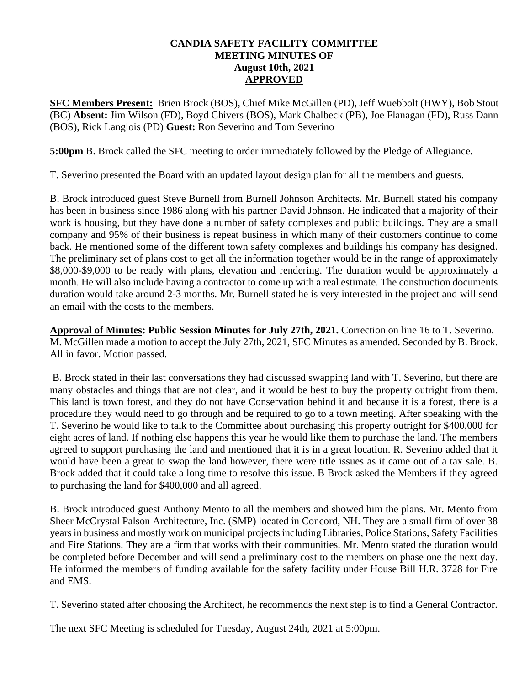## **CANDIA SAFETY FACILITY COMMITTEE MEETING MINUTES OF August 10th, 2021 APPROVED**

**SFC Members Present:** Brien Brock (BOS), Chief Mike McGillen (PD), Jeff Wuebbolt (HWY), Bob Stout (BC) **Absent:** Jim Wilson (FD), Boyd Chivers (BOS), Mark Chalbeck (PB), Joe Flanagan (FD), Russ Dann (BOS), Rick Langlois (PD) **Guest:** Ron Severino and Tom Severino

**5:00pm** B. Brock called the SFC meeting to order immediately followed by the Pledge of Allegiance.

T. Severino presented the Board with an updated layout design plan for all the members and guests.

B. Brock introduced guest Steve Burnell from Burnell Johnson Architects. Mr. Burnell stated his company has been in business since 1986 along with his partner David Johnson. He indicated that a majority of their work is housing, but they have done a number of safety complexes and public buildings. They are a small company and 95% of their business is repeat business in which many of their customers continue to come back. He mentioned some of the different town safety complexes and buildings his company has designed. The preliminary set of plans cost to get all the information together would be in the range of approximately \$8,000-\$9,000 to be ready with plans, elevation and rendering. The duration would be approximately a month. He will also include having a contractor to come up with a real estimate. The construction documents duration would take around 2-3 months. Mr. Burnell stated he is very interested in the project and will send an email with the costs to the members.

**Approval of Minutes: Public Session Minutes for July 27th, 2021.** Correction on line 16 to T. Severino. M. McGillen made a motion to accept the July 27th, 2021, SFC Minutes as amended. Seconded by B. Brock. All in favor. Motion passed.

B. Brock stated in their last conversations they had discussed swapping land with T. Severino, but there are many obstacles and things that are not clear, and it would be best to buy the property outright from them. This land is town forest, and they do not have Conservation behind it and because it is a forest, there is a procedure they would need to go through and be required to go to a town meeting. After speaking with the T. Severino he would like to talk to the Committee about purchasing this property outright for \$400,000 for eight acres of land. If nothing else happens this year he would like them to purchase the land. The members agreed to support purchasing the land and mentioned that it is in a great location. R. Severino added that it would have been a great to swap the land however, there were title issues as it came out of a tax sale. B. Brock added that it could take a long time to resolve this issue. B Brock asked the Members if they agreed to purchasing the land for \$400,000 and all agreed.

B. Brock introduced guest Anthony Mento to all the members and showed him the plans. Mr. Mento from Sheer McCrystal Palson Architecture, Inc. (SMP) located in Concord, NH. They are a small firm of over 38 years in business and mostly work on municipal projects including Libraries, Police Stations, Safety Facilities and Fire Stations. They are a firm that works with their communities. Mr. Mento stated the duration would be completed before December and will send a preliminary cost to the members on phase one the next day. He informed the members of funding available for the safety facility under House Bill H.R. 3728 for Fire and EMS.

T. Severino stated after choosing the Architect, he recommends the next step is to find a General Contractor.

The next SFC Meeting is scheduled for Tuesday, August 24th, 2021 at 5:00pm.